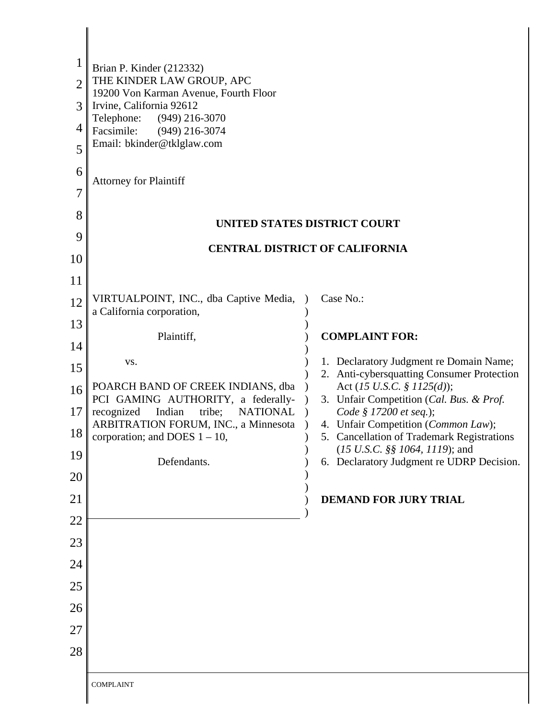| $\mathbf 1$<br>$\overline{2}$<br>3<br>4<br>5<br>6<br>7<br>8<br>9<br>10<br>11<br>12<br>13<br>14 | Brian P. Kinder (212332)<br>THE KINDER LAW GROUP, APC<br>19200 Von Karman Avenue, Fourth Floor<br>Irvine, California 92612<br>Telephone:<br>$(949)$ 216-3070<br>Facsimile:<br>$(949)$ 216-3074<br>Email: bkinder@tklglaw.com<br><b>Attorney for Plaintiff</b><br>VIRTUALPOINT, INC., dba Captive Media,<br>a California corporation,<br>Plaintiff,<br>VS. | UNITED STATES DISTRICT COURT<br><b>CENTRAL DISTRICT OF CALIFORNIA</b><br>Case No.:<br><b>COMPLAINT FOR:</b><br>1. Declaratory Judgment re Domain Name;                                                                                                                                                                                                            |
|------------------------------------------------------------------------------------------------|-----------------------------------------------------------------------------------------------------------------------------------------------------------------------------------------------------------------------------------------------------------------------------------------------------------------------------------------------------------|-------------------------------------------------------------------------------------------------------------------------------------------------------------------------------------------------------------------------------------------------------------------------------------------------------------------------------------------------------------------|
| 15<br>16<br>17<br>18<br>19<br>20<br>21<br>22<br>23<br>24                                       | POARCH BAND OF CREEK INDIANS, dba<br>PCI GAMING AUTHORITY, a federally-<br>Indian<br>recognized<br>tribe;<br><b>NATIONAL</b><br>ARBITRATION FORUM, INC., a Minnesota<br>corporation; and DOES $1 - 10$ ,<br>Defendants.                                                                                                                                   | Anti-cybersquatting Consumer Protection<br>2.<br>Act (15 U.S.C. § 1125(d));<br>3. Unfair Competition (Cal. Bus. & Prof.<br>Code § 17200 et seq.);<br>4. Unfair Competition (Common Law);<br>5. Cancellation of Trademark Registrations<br>$(15 \text{ U.S. C. }$ §§ 1064, 1119); and<br>6. Declaratory Judgment re UDRP Decision.<br><b>DEMAND FOR JURY TRIAL</b> |
|                                                                                                |                                                                                                                                                                                                                                                                                                                                                           |                                                                                                                                                                                                                                                                                                                                                                   |
| 25<br>26                                                                                       |                                                                                                                                                                                                                                                                                                                                                           |                                                                                                                                                                                                                                                                                                                                                                   |
|                                                                                                |                                                                                                                                                                                                                                                                                                                                                           |                                                                                                                                                                                                                                                                                                                                                                   |
| 27                                                                                             |                                                                                                                                                                                                                                                                                                                                                           |                                                                                                                                                                                                                                                                                                                                                                   |
| 28                                                                                             |                                                                                                                                                                                                                                                                                                                                                           |                                                                                                                                                                                                                                                                                                                                                                   |
|                                                                                                | <b>COMPLAINT</b>                                                                                                                                                                                                                                                                                                                                          |                                                                                                                                                                                                                                                                                                                                                                   |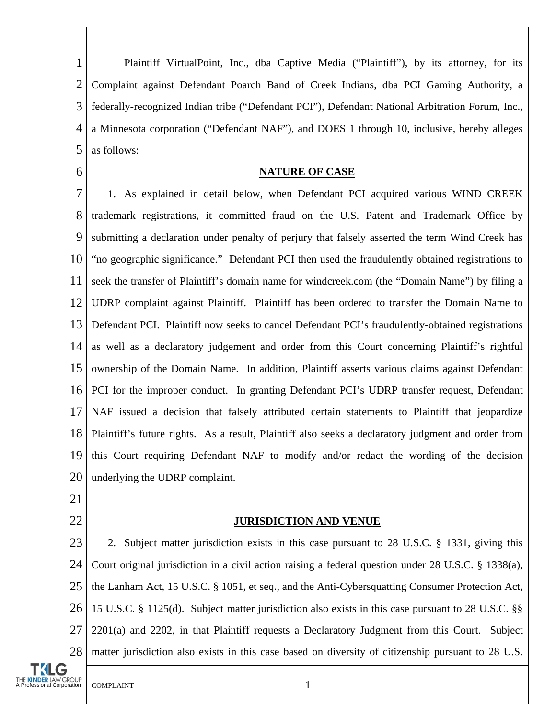1 2 3 4 5 Plaintiff VirtualPoint, Inc., dba Captive Media ("Plaintiff"), by its attorney, for its Complaint against Defendant Poarch Band of Creek Indians, dba PCI Gaming Authority, a federally-recognized Indian tribe ("Defendant PCI"), Defendant National Arbitration Forum, Inc., a Minnesota corporation ("Defendant NAF"), and DOES 1 through 10, inclusive, hereby alleges as follows:

6

## **NATURE OF CASE**

7 8 9 10 11 12 13 14 15 16 17 18 19 20 1. As explained in detail below, when Defendant PCI acquired various WIND CREEK trademark registrations, it committed fraud on the U.S. Patent and Trademark Office by submitting a declaration under penalty of perjury that falsely asserted the term Wind Creek has "no geographic significance." Defendant PCI then used the fraudulently obtained registrations to seek the transfer of Plaintiff's domain name for windcreek.com (the "Domain Name") by filing a UDRP complaint against Plaintiff. Plaintiff has been ordered to transfer the Domain Name to Defendant PCI. Plaintiff now seeks to cancel Defendant PCI's fraudulently-obtained registrations as well as a declaratory judgement and order from this Court concerning Plaintiff's rightful ownership of the Domain Name. In addition, Plaintiff asserts various claims against Defendant PCI for the improper conduct. In granting Defendant PCI's UDRP transfer request, Defendant NAF issued a decision that falsely attributed certain statements to Plaintiff that jeopardize Plaintiff's future rights. As a result, Plaintiff also seeks a declaratory judgment and order from this Court requiring Defendant NAF to modify and/or redact the wording of the decision underlying the UDRP complaint.

- 21
- 22

### **JURISDICTION AND VENUE**

23 24 25 26 27 28 2. Subject matter jurisdiction exists in this case pursuant to 28 U.S.C. § 1331, giving this Court original jurisdiction in a civil action raising a federal question under 28 U.S.C. § 1338(a), the Lanham Act, 15 U.S.C. § 1051, et seq., and the Anti-Cybersquatting Consumer Protection Act, 15 U.S.C. § 1125(d). Subject matter jurisdiction also exists in this case pursuant to 28 U.S.C. §§ 2201(a) and 2202, in that Plaintiff requests a Declaratory Judgment from this Court. Subject matter jurisdiction also exists in this case based on diversity of citizenship pursuant to 28 U.S.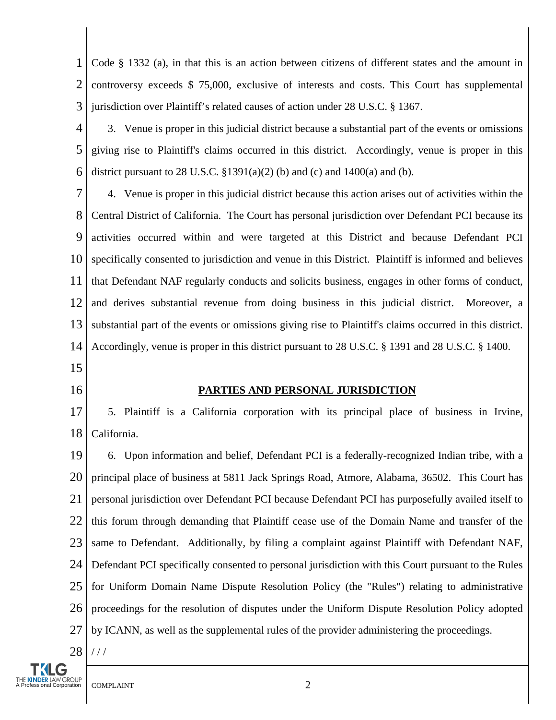1 2 3 Code § 1332 (a), in that this is an action between citizens of different states and the amount in controversy exceeds \$ 75,000, exclusive of interests and costs. This Court has supplemental jurisdiction over Plaintiff's related causes of action under 28 U.S.C. § 1367.

4 5 6 3. Venue is proper in this judicial district because a substantial part of the events or omissions giving rise to Plaintiff's claims occurred in this district. Accordingly, venue is proper in this district pursuant to 28 U.S.C.  $$1391(a)(2)$  (b) and (c) and 1400(a) and (b).

7 8 9 10 11 12 13 14 4. Venue is proper in this judicial district because this action arises out of activities within the Central District of California. The Court has personal jurisdiction over Defendant PCI because its activities occurred within and were targeted at this District and because Defendant PCI specifically consented to jurisdiction and venue in this District. Plaintiff is informed and believes that Defendant NAF regularly conducts and solicits business, engages in other forms of conduct, and derives substantial revenue from doing business in this judicial district. Moreover, a substantial part of the events or omissions giving rise to Plaintiff's claims occurred in this district. Accordingly, venue is proper in this district pursuant to 28 U.S.C. § 1391 and 28 U.S.C. § 1400.

- 15
- 16

## **PARTIES AND PERSONAL JURISDICTION**

17 18 5. Plaintiff is a California corporation with its principal place of business in Irvine, California.

19 20 21 22 23 24 25 26 27 28 6. Upon information and belief, Defendant PCI is a federally-recognized Indian tribe, with a principal place of business at 5811 Jack Springs Road, Atmore, Alabama, 36502. This Court has personal jurisdiction over Defendant PCI because Defendant PCI has purposefully availed itself to this forum through demanding that Plaintiff cease use of the Domain Name and transfer of the same to Defendant. Additionally, by filing a complaint against Plaintiff with Defendant NAF, Defendant PCI specifically consented to personal jurisdiction with this Court pursuant to the Rules for Uniform Domain Name Dispute Resolution Policy (the "Rules") relating to administrative proceedings for the resolution of disputes under the Uniform Dispute Resolution Policy adopted by ICANN, as well as the supplemental rules of the provider administering the proceedings. / / /

KINDER LAW GROUP<br>ofessional Corporation COMPLAINT 2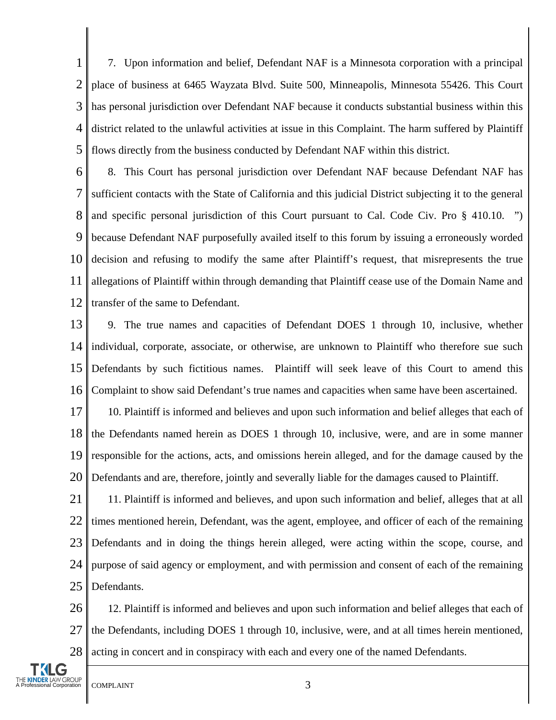1 2 3 4 5 7. Upon information and belief, Defendant NAF is a Minnesota corporation with a principal place of business at 6465 Wayzata Blvd. Suite 500, Minneapolis, Minnesota 55426. This Court has personal jurisdiction over Defendant NAF because it conducts substantial business within this district related to the unlawful activities at issue in this Complaint. The harm suffered by Plaintiff flows directly from the business conducted by Defendant NAF within this district.

6 7 8 9 10 11 12 8. This Court has personal jurisdiction over Defendant NAF because Defendant NAF has sufficient contacts with the State of California and this judicial District subjecting it to the general and specific personal jurisdiction of this Court pursuant to Cal. Code Civ. Pro § 410.10. ") because Defendant NAF purposefully availed itself to this forum by issuing a erroneously worded decision and refusing to modify the same after Plaintiff's request, that misrepresents the true allegations of Plaintiff within through demanding that Plaintiff cease use of the Domain Name and transfer of the same to Defendant.

13 14 15 16 9. The true names and capacities of Defendant DOES 1 through 10, inclusive, whether individual, corporate, associate, or otherwise, are unknown to Plaintiff who therefore sue such Defendants by such fictitious names. Plaintiff will seek leave of this Court to amend this Complaint to show said Defendant's true names and capacities when same have been ascertained.

17 18 19 20 10. Plaintiff is informed and believes and upon such information and belief alleges that each of the Defendants named herein as DOES 1 through 10, inclusive, were, and are in some manner responsible for the actions, acts, and omissions herein alleged, and for the damage caused by the Defendants and are, therefore, jointly and severally liable for the damages caused to Plaintiff.

21 22 23 24 25 11. Plaintiff is informed and believes, and upon such information and belief, alleges that at all times mentioned herein, Defendant, was the agent, employee, and officer of each of the remaining Defendants and in doing the things herein alleged, were acting within the scope, course, and purpose of said agency or employment, and with permission and consent of each of the remaining Defendants.

26 27 28 12. Plaintiff is informed and believes and upon such information and belief alleges that each of the Defendants, including DOES 1 through 10, inclusive, were, and at all times herein mentioned, acting in concert and in conspiracy with each and every one of the named Defendants.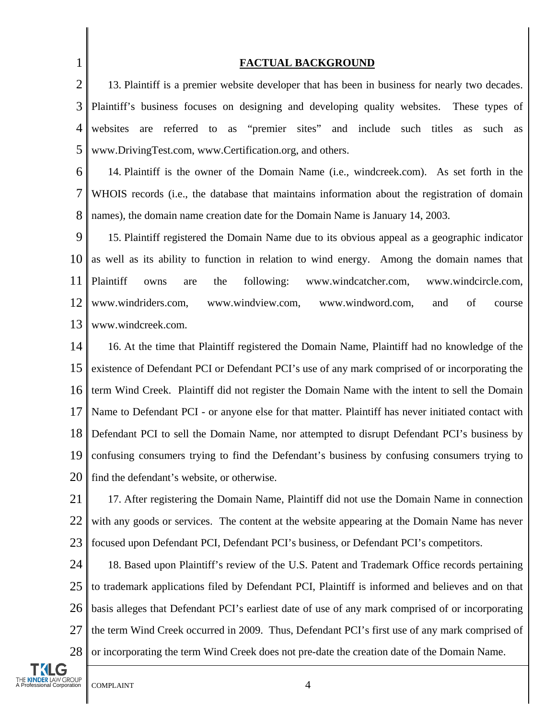1 2 3 4 5 6 7 8 9 10 11 12 13 14 15 16 17 18 19 20 21 22 23 24 25 26 27 **FACTUAL BACKGROUND** 13. Plaintiff is a premier website developer that has been in business for nearly two decades. Plaintiff's business focuses on designing and developing quality websites. These types of websites are referred to as "premier sites" and include such titles as such as www.DrivingTest.com, www.Certification.org, and others. 14. Plaintiff is the owner of the Domain Name (i.e., windcreek.com). As set forth in the WHOIS records (i.e., the database that maintains information about the registration of domain names), the domain name creation date for the Domain Name is January 14, 2003. 15. Plaintiff registered the Domain Name due to its obvious appeal as a geographic indicator as well as its ability to function in relation to wind energy. Among the domain names that Plaintiff owns are the following: www.windcatcher.com, www.windcircle.com, www.windriders.com, www.windview.com, www.windword.com, and of course www.windcreek.com. 16. At the time that Plaintiff registered the Domain Name, Plaintiff had no knowledge of the existence of Defendant PCI or Defendant PCI's use of any mark comprised of or incorporating the term Wind Creek. Plaintiff did not register the Domain Name with the intent to sell the Domain Name to Defendant PCI - or anyone else for that matter. Plaintiff has never initiated contact with Defendant PCI to sell the Domain Name, nor attempted to disrupt Defendant PCI's business by confusing consumers trying to find the Defendant's business by confusing consumers trying to find the defendant's website, or otherwise. 17. After registering the Domain Name, Plaintiff did not use the Domain Name in connection with any goods or services. The content at the website appearing at the Domain Name has never focused upon Defendant PCI, Defendant PCI's business, or Defendant PCI's competitors. 18. Based upon Plaintiff's review of the U.S. Patent and Trademark Office records pertaining to trademark applications filed by Defendant PCI, Plaintiff is informed and believes and on that basis alleges that Defendant PCI's earliest date of use of any mark comprised of or incorporating

28 or incorporating the term Wind Creek does not pre-date the creation date of the Domain Name.

the term Wind Creek occurred in 2009. Thus, Defendant PCI's first use of any mark comprised of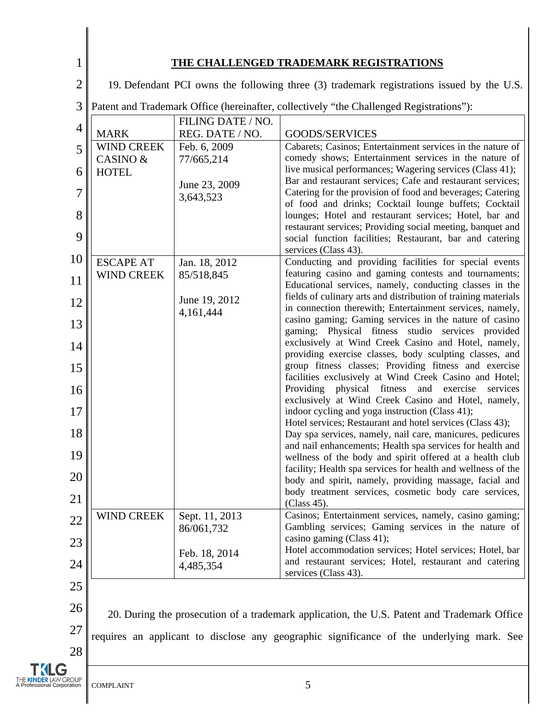|--|--|--|

## **THE CHALLENGED TRADEMARK REGISTRATIONS**

| $\overline{2}$ | 19. Defendant PCI owns the following three (3) trademark registrations issued by the U.S. |                            |                                                                                                                           |
|----------------|-------------------------------------------------------------------------------------------|----------------------------|---------------------------------------------------------------------------------------------------------------------------|
| 3              | Patent and Trademark Office (hereinafter, collectively "the Challenged Registrations"):   |                            |                                                                                                                           |
| 4              |                                                                                           | FILING DATE / NO.          |                                                                                                                           |
|                | <b>MARK</b>                                                                               | REG. DATE / NO.            | GOODS/SERVICES                                                                                                            |
| 5              | <b>WIND CREEK</b><br>CASINO &                                                             | Feb. 6, 2009<br>77/665,214 | Cabarets; Casinos; Entertainment services in the nature of<br>comedy shows; Entertainment services in the nature of       |
| 6              | <b>HOTEL</b>                                                                              |                            | live musical performances; Wagering services (Class 41);                                                                  |
| 7              |                                                                                           | June 23, 2009              | Bar and restaurant services; Cafe and restaurant services;<br>Catering for the provision of food and beverages; Catering  |
|                |                                                                                           | 3,643,523                  | of food and drinks; Cocktail lounge buffets; Cocktail                                                                     |
| 8              |                                                                                           |                            | lounges; Hotel and restaurant services; Hotel, bar and<br>restaurant services; Providing social meeting, banquet and      |
| 9              |                                                                                           |                            | social function facilities; Restaurant, bar and catering                                                                  |
| 10             | <b>ESCAPE AT</b>                                                                          | Jan. 18, 2012              | services (Class 43).<br>Conducting and providing facilities for special events                                            |
| 11             | <b>WIND CREEK</b>                                                                         | 85/518,845                 | featuring casino and gaming contests and tournaments;                                                                     |
|                |                                                                                           | June 19, 2012              | Educational services, namely, conducting classes in the<br>fields of culinary arts and distribution of training materials |
| 12             |                                                                                           | 4,161,444                  | in connection therewith; Entertainment services, namely,                                                                  |
| 13             |                                                                                           |                            | casino gaming; Gaming services in the nature of casino<br>gaming; Physical fitness studio services provided               |
| 14             |                                                                                           |                            | exclusively at Wind Creek Casino and Hotel, namely,<br>providing exercise classes, body sculpting classes, and            |
| 15             |                                                                                           |                            | group fitness classes; Providing fitness and exercise                                                                     |
| 16             |                                                                                           |                            | facilities exclusively at Wind Creek Casino and Hotel;<br>Providing physical fitness<br>and exercise<br>services          |
|                |                                                                                           |                            | exclusively at Wind Creek Casino and Hotel, namely,                                                                       |
| 17             |                                                                                           |                            | indoor cycling and yoga instruction (Class 41);<br>Hotel services; Restaurant and hotel services (Class 43);              |
| 18             |                                                                                           |                            | Day spa services, namely, nail care, manicures, pedicures<br>and nail enhancements; Health spa services for health and    |
| 19             |                                                                                           |                            | wellness of the body and spirit offered at a health club                                                                  |
| 20             |                                                                                           |                            | facility; Health spa services for health and wellness of the<br>body and spirit, namely, providing massage, facial and    |
| 21             |                                                                                           |                            | body treatment services, cosmetic body care services,<br>(Class 45).                                                      |
| 22             | <b>WIND CREEK</b>                                                                         | Sept. 11, 2013             | Casinos; Entertainment services, namely, casino gaming;                                                                   |
|                |                                                                                           | 86/061,732                 | Gambling services; Gaming services in the nature of<br>casino gaming (Class 41);                                          |
| 23             |                                                                                           | Feb. 18, 2014              | Hotel accommodation services; Hotel services; Hotel, bar                                                                  |
| 24             |                                                                                           | 4,485,354                  | and restaurant services; Hotel, restaurant and catering<br>services (Class 43).                                           |
| 25             |                                                                                           |                            |                                                                                                                           |

27

28

26 20. During the prosecution of a trademark application, the U.S. Patent and Trademark Office requires an applicant to disclose any geographic significance of the underlying mark. See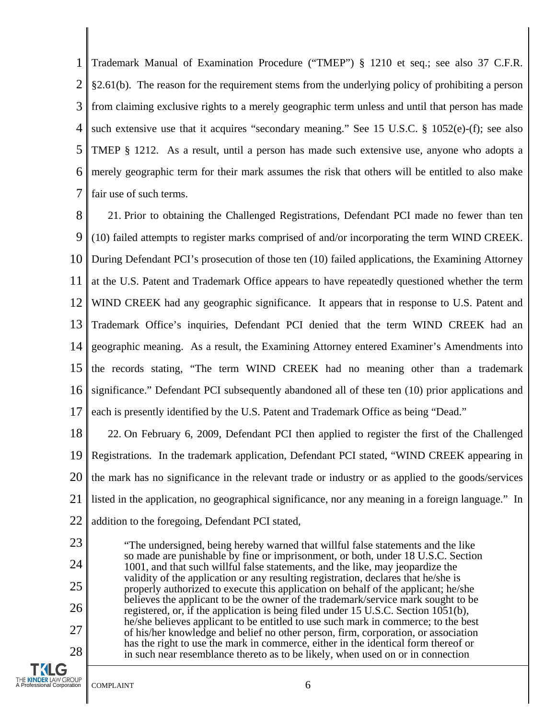1 2 3 4 5 6 7 Trademark Manual of Examination Procedure ("TMEP") § 1210 et seq.; see also 37 C.F.R. §2.61(b). The reason for the requirement stems from the underlying policy of prohibiting a person from claiming exclusive rights to a merely geographic term unless and until that person has made such extensive use that it acquires "secondary meaning." See 15 U.S.C. § 1052(e)-(f); see also TMEP § 1212. As a result, until a person has made such extensive use, anyone who adopts a merely geographic term for their mark assumes the risk that others will be entitled to also make fair use of such terms.

8 9 10 11 12 13 14 15 16 17 21. Prior to obtaining the Challenged Registrations, Defendant PCI made no fewer than ten (10) failed attempts to register marks comprised of and/or incorporating the term WIND CREEK. During Defendant PCI's prosecution of those ten (10) failed applications, the Examining Attorney at the U.S. Patent and Trademark Office appears to have repeatedly questioned whether the term WIND CREEK had any geographic significance. It appears that in response to U.S. Patent and Trademark Office's inquiries, Defendant PCI denied that the term WIND CREEK had an geographic meaning. As a result, the Examining Attorney entered Examiner's Amendments into the records stating, "The term WIND CREEK had no meaning other than a trademark significance." Defendant PCI subsequently abandoned all of these ten (10) prior applications and each is presently identified by the U.S. Patent and Trademark Office as being "Dead."

18 19 20 21 22 22. On February 6, 2009, Defendant PCI then applied to register the first of the Challenged Registrations. In the trademark application, Defendant PCI stated, "WIND CREEK appearing in the mark has no significance in the relevant trade or industry or as applied to the goods/services listed in the application, no geographical significance, nor any meaning in a foreign language." In addition to the foregoing, Defendant PCI stated,

"The undersigned, being hereby warned that willful false statements and the like so made are punishable by fine or imprisonment, or both, under 18 U.S.C. Section 1001, and that such willful false statements, and the like, may jeopardize the validity of the application or any resulting registration, declares that he/she is properly authorized to execute this application on behalf of the applicant; he/she believes the applicant to be the owner of the trademark/service mark sought to be registered, or, if the application is being filed under 15 U.S.C. Section 1051(b), he/she believes applicant to be entitled to use such mark in commerce; to the best of his/her knowledge and belief no other person, firm, corporation, or association has the right to use the mark in commerce, either in the identical form thereof or in such near resemblance thereto as to be likely, when used on or in connection

23

24

25

26

27

28

**TKLG**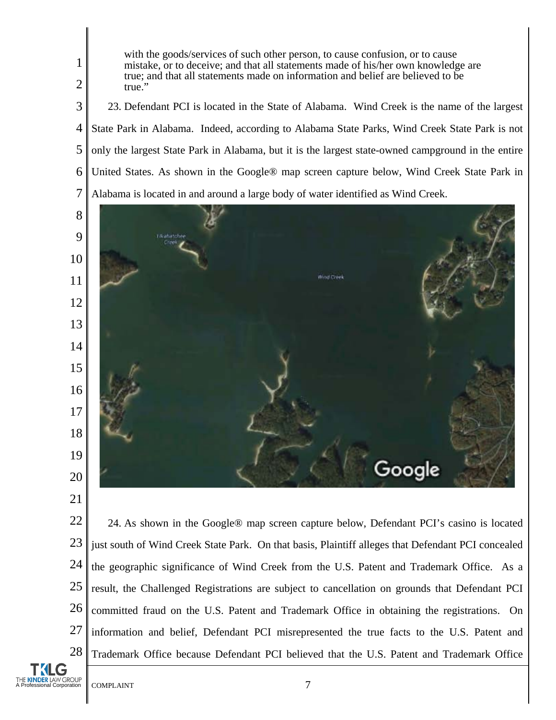true; and that all statements made on information and belief are believed to be true." 23. Defendant PCI is located in the State of Alabama. Wind Creek is the name of the largest State Park in Alabama. Indeed, according to Alabama State Parks, Wind Creek State Park is not only the largest State Park in Alabama, but it is the largest state-owned campground in the entire United States. As shown in the Google® map screen capture below, Wind Creek State Park in Alabama is located in and around a large body of water identified as Wind Creek.

with the goods/services of such other person, to cause confusion, or to cause mistake, or to deceive; and that all statements made of his/her own knowledge are



 24. As shown in the Google® map screen capture below, Defendant PCI's casino is located just south of Wind Creek State Park. On that basis, Plaintiff alleges that Defendant PCI concealed the geographic significance of Wind Creek from the U.S. Patent and Trademark Office. As a result, the Challenged Registrations are subject to cancellation on grounds that Defendant PCI committed fraud on the U.S. Patent and Trademark Office in obtaining the registrations. On information and belief, Defendant PCI misrepresented the true facts to the U.S. Patent and Trademark Office because Defendant PCI believed that the U.S. Patent and Trademark Office

G THE KINDER LAW GROUP<br>A Professional Corporation COMPLAINT 7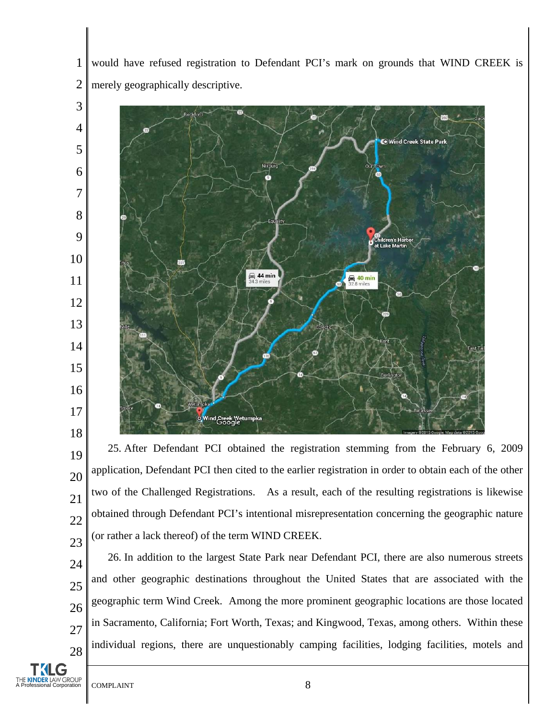would have refused registration to Defendant PCI's mark on grounds that WIND CREEK is merely geographically descriptive.



 25. After Defendant PCI obtained the registration stemming from the February 6, 2009 application, Defendant PCI then cited to the earlier registration in order to obtain each of the other two of the Challenged Registrations. As a result, each of the resulting registrations is likewise obtained through Defendant PCI's intentional misrepresentation concerning the geographic nature (or rather a lack thereof) of the term WIND CREEK.

 26. In addition to the largest State Park near Defendant PCI, there are also numerous streets and other geographic destinations throughout the United States that are associated with the geographic term Wind Creek. Among the more prominent geographic locations are those located in Sacramento, California; Fort Worth, Texas; and Kingwood, Texas, among others. Within these individual regions, there are unquestionably camping facilities, lodging facilities, motels and

**SINDER** LAW GROUP<br> **A PROFESSIONAL COMPLAINT** 88

G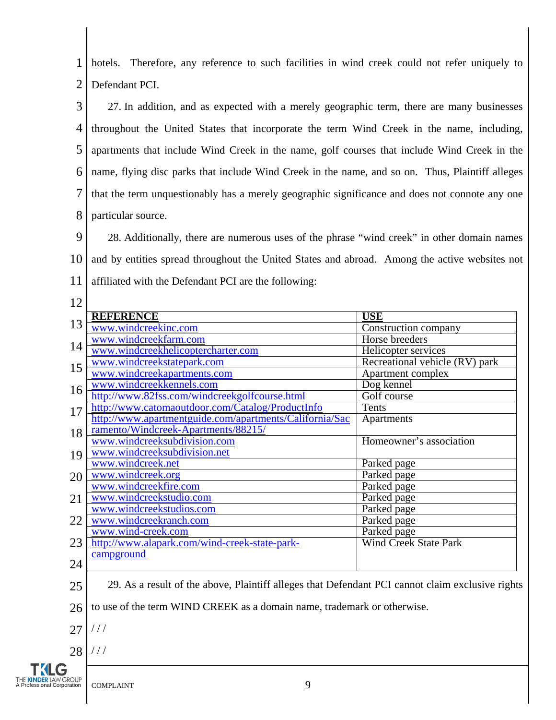1 2 hotels. Therefore, any reference to such facilities in wind creek could not refer uniquely to Defendant PCI.

3 4 5 6 7 8 27. In addition, and as expected with a merely geographic term, there are many businesses throughout the United States that incorporate the term Wind Creek in the name, including, apartments that include Wind Creek in the name, golf courses that include Wind Creek in the name, flying disc parks that include Wind Creek in the name, and so on. Thus, Plaintiff alleges that the term unquestionably has a merely geographic significance and does not connote any one particular source.

9 10 11 28. Additionally, there are numerous uses of the phrase "wind creek" in other domain names and by entities spread throughout the United States and abroad. Among the active websites not affiliated with the Defendant PCI are the following:

- 12 13 14 15 16 17 18 19 20 21 22 23 24 **REFERENCE USE** [www.windcreekinc.com](http://www.windcreekinc.com/) Construction company [www.windcreekfarm.com](http://www.windcreekfarm.com/) | Horse breeders [www.windcreekhelicoptercharter.com](http://www.windcreekhelicoptercharter.com/) Helicopter Helicopter services [www.windcreekstatepark.com](http://www.windcreekstatepark.com/) Recreational vehicle (RV) park [www.windcreekapartments.com](http://www.windcreekapartments.com/) Apartment Complex<br>www.windcreekkennels.com Dog kennel [www.windcreekkennels.com](http://www.windcreekkennels.com/) <http://www.82fss.com/windcreekgolfcourse.html> Golf course <http://www.catomaoutdoor.com/Catalog/ProductInfo> Tents [http://www.apartmentguide.com/apartments/California/Sac](http://www.apartmentguide.com/apartments/California/Sacramento/Windcreek-Apartments/88215/) [ramento/Windcreek-Apartments/88215/](http://www.apartmentguide.com/apartments/California/Sacramento/Windcreek-Apartments/88215/) Apartments [www.windcreeksubdivision.com](http://www.windcreeksubdivision.com/) [www.windcreeksubdivision.net](http://www.windcreeksubdivision.net/) Homeowner's association [www.windcreek.net](http://www.windcreek.net/) Parked page [www.windcreek.org](http://www.windcreek.org/) Parked page [www.windcreekfire.com](http://www.windcreekfire.com/) Parked page [www.windcreekstudio.com](http://www.windcreekstudio.com/) Parked page [www.windcreekstudios.com](http://www.windcreekstudios.com/) Parked page [www.windcreekranch.com](http://www.windcreekranch.com/) Parked page [www.wind-creek.com](http://www.wind-creek.com/) Parked page [http://www.alapark.com/wind-creek-state-park](http://www.alapark.com/wind-creek-state-park-campground)[campground](http://www.alapark.com/wind-creek-state-park-campground) Wind Creek State Park
- 25 29. As a result of the above, Plaintiff alleges that Defendant PCI cannot claim exclusive rights

26 to use of the term WIND CREEK as a domain name, trademark or otherwise.

27  $/ / /$ 

28 / / /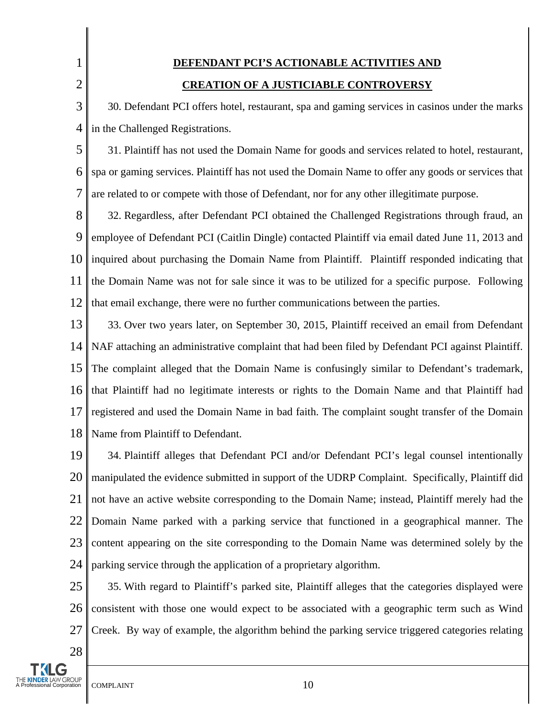# **DEFENDANT PCI'S ACTIONABLE ACTIVITIES AND CREATION OF A JUSTICIABLE CONTROVERSY**

3 4 30. Defendant PCI offers hotel, restaurant, spa and gaming services in casinos under the marks in the Challenged Registrations.

5 6 7 31. Plaintiff has not used the Domain Name for goods and services related to hotel, restaurant, spa or gaming services. Plaintiff has not used the Domain Name to offer any goods or services that are related to or compete with those of Defendant, nor for any other illegitimate purpose.

8 9 10 11 12 32. Regardless, after Defendant PCI obtained the Challenged Registrations through fraud, an employee of Defendant PCI (Caitlin Dingle) contacted Plaintiff via email dated June 11, 2013 and inquired about purchasing the Domain Name from Plaintiff. Plaintiff responded indicating that the Domain Name was not for sale since it was to be utilized for a specific purpose. Following that email exchange, there were no further communications between the parties.

13 14 15 16 17 18 33. Over two years later, on September 30, 2015, Plaintiff received an email from Defendant NAF attaching an administrative complaint that had been filed by Defendant PCI against Plaintiff. The complaint alleged that the Domain Name is confusingly similar to Defendant's trademark, that Plaintiff had no legitimate interests or rights to the Domain Name and that Plaintiff had registered and used the Domain Name in bad faith. The complaint sought transfer of the Domain Name from Plaintiff to Defendant.

19 20 21 22 23 24 34. Plaintiff alleges that Defendant PCI and/or Defendant PCI's legal counsel intentionally manipulated the evidence submitted in support of the UDRP Complaint. Specifically, Plaintiff did not have an active website corresponding to the Domain Name; instead, Plaintiff merely had the Domain Name parked with a parking service that functioned in a geographical manner. The content appearing on the site corresponding to the Domain Name was determined solely by the parking service through the application of a proprietary algorithm.

25 26 27 35. With regard to Plaintiff's parked site, Plaintiff alleges that the categories displayed were consistent with those one would expect to be associated with a geographic term such as Wind Creek. By way of example, the algorithm behind the parking service triggered categories relating

28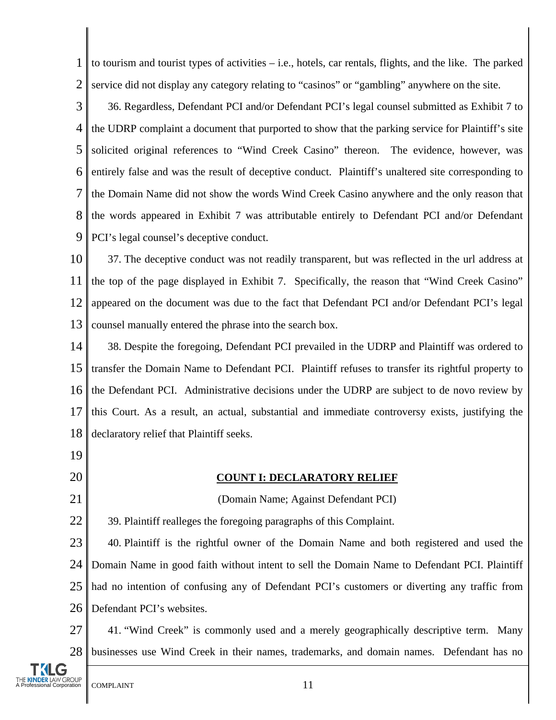1 2 to tourism and tourist types of activities – i.e., hotels, car rentals, flights, and the like. The parked service did not display any category relating to "casinos" or "gambling" anywhere on the site.

3 4 5 6 7 8 9 36. Regardless, Defendant PCI and/or Defendant PCI's legal counsel submitted as Exhibit 7 to the UDRP complaint a document that purported to show that the parking service for Plaintiff's site solicited original references to "Wind Creek Casino" thereon. The evidence, however, was entirely false and was the result of deceptive conduct. Plaintiff's unaltered site corresponding to the Domain Name did not show the words Wind Creek Casino anywhere and the only reason that the words appeared in Exhibit 7 was attributable entirely to Defendant PCI and/or Defendant PCI's legal counsel's deceptive conduct.

10 11 12 13 37. The deceptive conduct was not readily transparent, but was reflected in the url address at the top of the page displayed in Exhibit 7. Specifically, the reason that "Wind Creek Casino" appeared on the document was due to the fact that Defendant PCI and/or Defendant PCI's legal counsel manually entered the phrase into the search box.

14 15 16 17 18 38. Despite the foregoing, Defendant PCI prevailed in the UDRP and Plaintiff was ordered to transfer the Domain Name to Defendant PCI. Plaintiff refuses to transfer its rightful property to the Defendant PCI. Administrative decisions under the UDRP are subject to de novo review by this Court. As a result, an actual, substantial and immediate controversy exists, justifying the declaratory relief that Plaintiff seeks.

- 19
- 20

21

## **COUNT I: DECLARATORY RELIEF**

(Domain Name; Against Defendant PCI)

22 39. Plaintiff realleges the foregoing paragraphs of this Complaint.

23 24 25 26 40. Plaintiff is the rightful owner of the Domain Name and both registered and used the Domain Name in good faith without intent to sell the Domain Name to Defendant PCI. Plaintiff had no intention of confusing any of Defendant PCI's customers or diverting any traffic from Defendant PCI's websites.

27 28 41. "Wind Creek" is commonly used and a merely geographically descriptive term. Many businesses use Wind Creek in their names, trademarks, and domain names. Defendant has no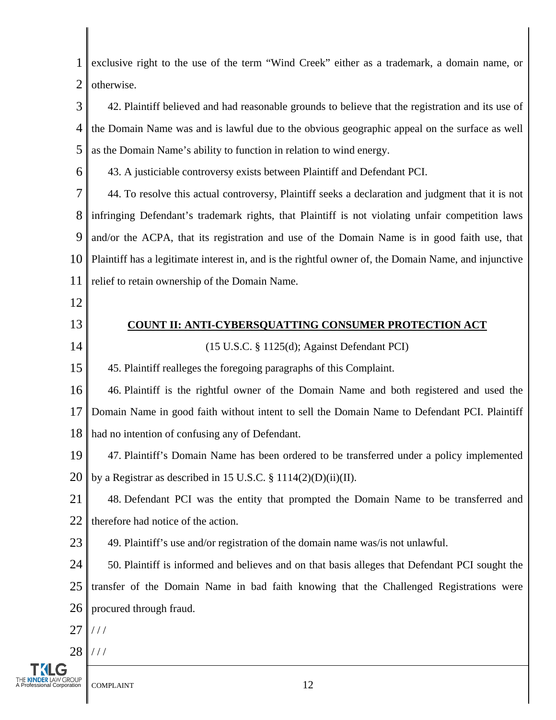1 2 exclusive right to the use of the term "Wind Creek" either as a trademark, a domain name, or otherwise.

3 4 5 42. Plaintiff believed and had reasonable grounds to believe that the registration and its use of the Domain Name was and is lawful due to the obvious geographic appeal on the surface as well as the Domain Name's ability to function in relation to wind energy.

6

43. A justiciable controversy exists between Plaintiff and Defendant PCI.

7 8 9 10 11 44. To resolve this actual controversy, Plaintiff seeks a declaration and judgment that it is not infringing Defendant's trademark rights, that Plaintiff is not violating unfair competition laws and/or the ACPA, that its registration and use of the Domain Name is in good faith use, that Plaintiff has a legitimate interest in, and is the rightful owner of, the Domain Name, and injunctive relief to retain ownership of the Domain Name.

12

14

#### 13 **COUNT II: ANTI-CYBERSQUATTING CONSUMER PROTECTION ACT**

(15 U.S.C. § 1125(d); Against Defendant PCI)

15 45. Plaintiff realleges the foregoing paragraphs of this Complaint.

16 17 18 46. Plaintiff is the rightful owner of the Domain Name and both registered and used the Domain Name in good faith without intent to sell the Domain Name to Defendant PCI. Plaintiff had no intention of confusing any of Defendant.

19 20 47. Plaintiff's Domain Name has been ordered to be transferred under a policy implemented by a Registrar as described in 15 U.S.C.  $\S$  1114(2)(D)(ii)(II).

21 22 48. Defendant PCI was the entity that prompted the Domain Name to be transferred and therefore had notice of the action.

23 49. Plaintiff's use and/or registration of the domain name was/is not unlawful.

24 25 26 50. Plaintiff is informed and believes and on that basis alleges that Defendant PCI sought the transfer of the Domain Name in bad faith knowing that the Challenged Registrations were procured through fraud.

- 27 / / /
- 28 / / /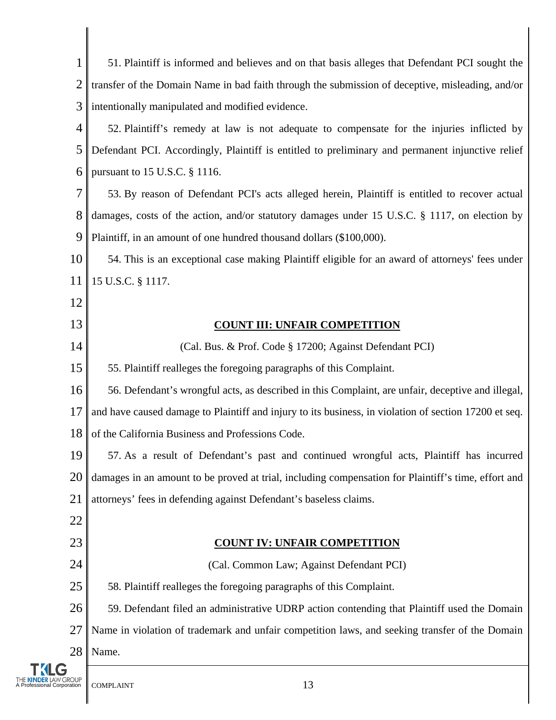1 2 3 51. Plaintiff is informed and believes and on that basis alleges that Defendant PCI sought the transfer of the Domain Name in bad faith through the submission of deceptive, misleading, and/or intentionally manipulated and modified evidence.

4 5 6 52. Plaintiff's remedy at law is not adequate to compensate for the injuries inflicted by Defendant PCI. Accordingly, Plaintiff is entitled to preliminary and permanent injunctive relief pursuant to 15 U.S.C. § 1116.

7 8 9 53. By reason of Defendant PCI's acts alleged herein, Plaintiff is entitled to recover actual damages, costs of the action, and/or statutory damages under 15 U.S.C. § 1117, on election by Plaintiff, in an amount of one hundred thousand dollars (\$100,000).

10 11 54. This is an exceptional case making Plaintiff eligible for an award of attorneys' fees under 15 U.S.C. § 1117.

- 12
- 13

14

## **COUNT III: UNFAIR COMPETITION**

(Cal. Bus. & Prof. Code § 17200; Against Defendant PCI)

15 55. Plaintiff realleges the foregoing paragraphs of this Complaint.

16 17 18 56. Defendant's wrongful acts, as described in this Complaint, are unfair, deceptive and illegal, and have caused damage to Plaintiff and injury to its business, in violation of section 17200 et seq. of the California Business and Professions Code.

19 20 21 57. As a result of Defendant's past and continued wrongful acts, Plaintiff has incurred damages in an amount to be proved at trial, including compensation for Plaintiff's time, effort and attorneys' fees in defending against Defendant's baseless claims.

22

23

## **COUNT IV: UNFAIR COMPETITION**

24 25 26 27 28 (Cal. Common Law; Against Defendant PCI) 58. Plaintiff realleges the foregoing paragraphs of this Complaint. 59. Defendant filed an administrative UDRP action contending that Plaintiff used the Domain Name in violation of trademark and unfair competition laws, and seeking transfer of the Domain Name.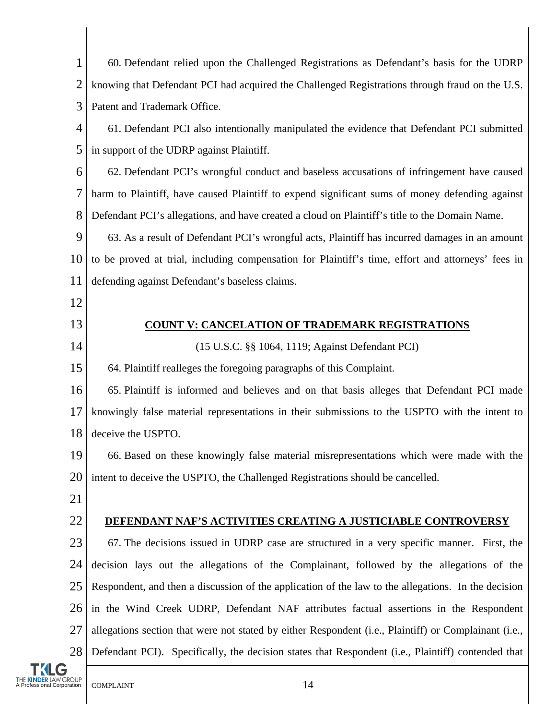| 1                               | 60. Defendant relied upon the Challenged Registrations as Defendant's basis for the UDRP              |  |
|---------------------------------|-------------------------------------------------------------------------------------------------------|--|
| $\overline{2}$                  | knowing that Defendant PCI had acquired the Challenged Registrations through fraud on the U.S.        |  |
| 3                               | Patent and Trademark Office.                                                                          |  |
| 4                               | 61. Defendant PCI also intentionally manipulated the evidence that Defendant PCI submitted            |  |
| 5                               | in support of the UDRP against Plaintiff.                                                             |  |
| 6                               | 62. Defendant PCI's wrongful conduct and baseless accusations of infringement have caused             |  |
| 7                               | harm to Plaintiff, have caused Plaintiff to expend significant sums of money defending against        |  |
| 8                               | Defendant PCI's allegations, and have created a cloud on Plaintiff's title to the Domain Name.        |  |
| 9                               | 63. As a result of Defendant PCI's wrongful acts, Plaintiff has incurred damages in an amount         |  |
| 10                              | to be proved at trial, including compensation for Plaintiff's time, effort and attorneys' fees in     |  |
| 11                              | defending against Defendant's baseless claims.                                                        |  |
| 12                              |                                                                                                       |  |
| 13                              | <b>COUNT V: CANCELATION OF TRADEMARK REGISTRATIONS</b>                                                |  |
| 14                              | (15 U.S.C. §§ 1064, 1119; Against Defendant PCI)                                                      |  |
| 15                              | 64. Plaintiff realleges the foregoing paragraphs of this Complaint.                                   |  |
| 16                              | 65. Plaintiff is informed and believes and on that basis alleges that Defendant PCI made              |  |
| 17                              | knowingly false material representations in their submissions to the USPTO with the intent to         |  |
| 18                              | deceive the USPTO.                                                                                    |  |
| 19                              | 66. Based on these knowingly false material misrepresentations which were made with the               |  |
| 20                              | intent to deceive the USPTO, the Challenged Registrations should be cancelled.                        |  |
| 21                              |                                                                                                       |  |
| 22                              | DEFENDANT NAF'S ACTIVITIES CREATING A JUSTICIABLE CONTROVERSY                                         |  |
| 23                              | 67. The decisions issued in UDRP case are structured in a very specific manner. First, the            |  |
| 24                              | decision lays out the allegations of the Complainant, followed by the allegations of the              |  |
| 25                              | Respondent, and then a discussion of the application of the law to the allegations. In the decision   |  |
| 26                              | in the Wind Creek UDRP, Defendant NAF attributes factual assertions in the Respondent                 |  |
| 27                              | allegations section that were not stated by either Respondent (i.e., Plaintiff) or Complainant (i.e., |  |
| 28                              | Defendant PCI). Specifically, the decision states that Respondent (i.e., Plaintiff) contended that    |  |
| G<br>A Professional Corporation | 14<br><b>COMPLAINT</b>                                                                                |  |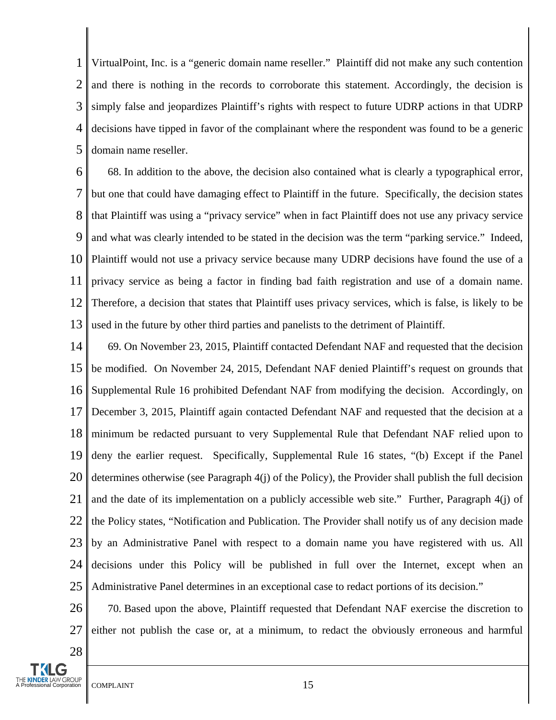1 2 3 4 5 VirtualPoint, Inc. is a "generic domain name reseller." Plaintiff did not make any such contention and there is nothing in the records to corroborate this statement. Accordingly, the decision is simply false and jeopardizes Plaintiff's rights with respect to future UDRP actions in that UDRP decisions have tipped in favor of the complainant where the respondent was found to be a generic domain name reseller.

6 7 8 9 10 11 12 13 68. In addition to the above, the decision also contained what is clearly a typographical error, but one that could have damaging effect to Plaintiff in the future. Specifically, the decision states that Plaintiff was using a "privacy service" when in fact Plaintiff does not use any privacy service and what was clearly intended to be stated in the decision was the term "parking service." Indeed, Plaintiff would not use a privacy service because many UDRP decisions have found the use of a privacy service as being a factor in finding bad faith registration and use of a domain name. Therefore, a decision that states that Plaintiff uses privacy services, which is false, is likely to be used in the future by other third parties and panelists to the detriment of Plaintiff.

14 15 16 17 18 19 20 21 22 23 24 25 69. On November 23, 2015, Plaintiff contacted Defendant NAF and requested that the decision be modified. On November 24, 2015, Defendant NAF denied Plaintiff's request on grounds that Supplemental Rule 16 prohibited Defendant NAF from modifying the decision. Accordingly, on December 3, 2015, Plaintiff again contacted Defendant NAF and requested that the decision at a minimum be redacted pursuant to very Supplemental Rule that Defendant NAF relied upon to deny the earlier request. Specifically, Supplemental Rule 16 states, "(b) Except if the Panel determines otherwise (see Paragraph 4(j) of the Policy), the Provider shall publish the full decision and the date of its implementation on a publicly accessible web site." Further, Paragraph 4(j) of the Policy states, "Notification and Publication. The Provider shall notify us of any decision made by an Administrative Panel with respect to a domain name you have registered with us. All decisions under this Policy will be published in full over the Internet, except when an Administrative Panel determines in an exceptional case to redact portions of its decision."

26 27 70. Based upon the above, Plaintiff requested that Defendant NAF exercise the discretion to either not publish the case or, at a minimum, to redact the obviously erroneous and harmful

KINDER LAW GROUP  $\parallel$  COMPLAINT  $\parallel$  15

28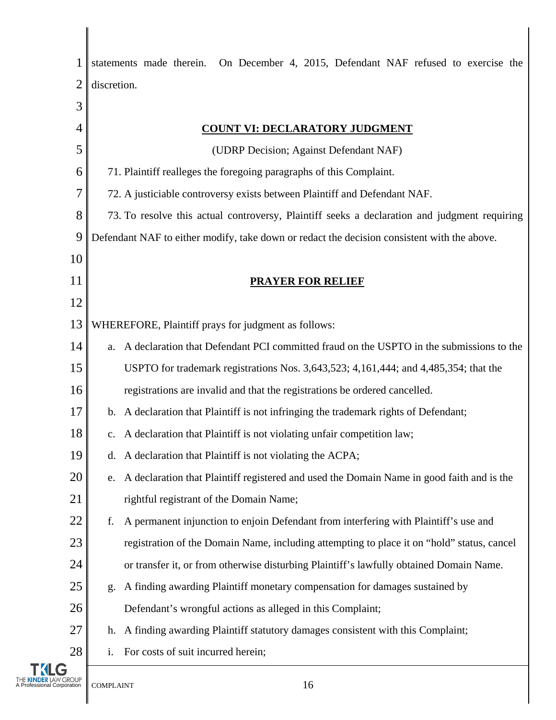| 1           | statements made therein. On December 4, 2015, Defendant NAF refused to exercise the          |
|-------------|----------------------------------------------------------------------------------------------|
| 2           | discretion.                                                                                  |
| 3           |                                                                                              |
| 4           | <b>COUNT VI: DECLARATORY JUDGMENT</b>                                                        |
| 5           | (UDRP Decision; Against Defendant NAF)                                                       |
| 6           | 71. Plaintiff realleges the foregoing paragraphs of this Complaint.                          |
| 7           | 72. A justiciable controversy exists between Plaintiff and Defendant NAF.                    |
| 8           | 73. To resolve this actual controversy, Plaintiff seeks a declaration and judgment requiring |
| 9           | Defendant NAF to either modify, take down or redact the decision consistent with the above.  |
| 10          |                                                                                              |
| 11          | <b>PRAYER FOR RELIEF</b>                                                                     |
| 12          |                                                                                              |
| 13          | WHEREFORE, Plaintiff prays for judgment as follows:                                          |
| 14          | a. A declaration that Defendant PCI committed fraud on the USPTO in the submissions to the   |
| 15          | USPTO for trademark registrations Nos. 3,643,523; 4,161,444; and 4,485,354; that the         |
| 16          | registrations are invalid and that the registrations be ordered cancelled.                   |
| 17          | b. A declaration that Plaintiff is not infringing the trademark rights of Defendant;         |
| 18          | c. A declaration that Plaintiff is not violating unfair competition law;                     |
| 19          | d. A declaration that Plaintiff is not violating the ACPA;                                   |
| 20          | e. A declaration that Plaintiff registered and used the Domain Name in good faith and is the |
| 21          | rightful registrant of the Domain Name;                                                      |
| 22          | A permanent injunction to enjoin Defendant from interfering with Plaintiff's use and<br>f.   |
| 23          | registration of the Domain Name, including attempting to place it on "hold" status, cancel   |
| 24          | or transfer it, or from otherwise disturbing Plaintiff's lawfully obtained Domain Name.      |
| 25          | A finding awarding Plaintiff monetary compensation for damages sustained by<br>g.            |
| 26          | Defendant's wrongful actions as alleged in this Complaint;                                   |
| 27          | h. A finding awarding Plaintiff statutory damages consistent with this Complaint;            |
| 28          | For costs of suit incurred herein;                                                           |
| Corporation | 16<br><b>COMPLAINT</b>                                                                       |

 $\mathbf{I}$ 

 $\overline{1}$ Ι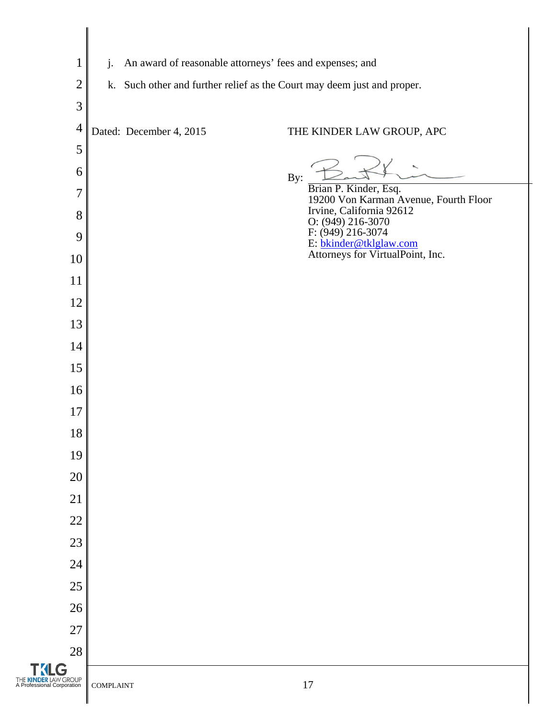| $\mathbf{1}$                                       | An award of reasonable attorneys' fees and expenses; and<br>$j$ .       |                                                                                 |
|----------------------------------------------------|-------------------------------------------------------------------------|---------------------------------------------------------------------------------|
| $\overline{2}$                                     | k. Such other and further relief as the Court may deem just and proper. |                                                                                 |
| 3                                                  |                                                                         |                                                                                 |
| $\overline{4}$                                     | Dated: December 4, 2015                                                 | THE KINDER LAW GROUP, APC                                                       |
| 5                                                  |                                                                         |                                                                                 |
| 6                                                  |                                                                         | By:                                                                             |
| $\overline{7}$                                     |                                                                         | Brian P. Kinder, Esq.<br>19200 Von Karman Avenue, Fourth Floor                  |
| 8                                                  |                                                                         | Irvine, California 92612<br>O: (949) 216-3070                                   |
| 9                                                  |                                                                         | F: (949) 216-3074<br>E: bkinder@tklglaw.com<br>Attorneys for VirtualPoint, Inc. |
| 10                                                 |                                                                         |                                                                                 |
| 11                                                 |                                                                         |                                                                                 |
| 12                                                 |                                                                         |                                                                                 |
| 13                                                 |                                                                         |                                                                                 |
| 14                                                 |                                                                         |                                                                                 |
| 15                                                 |                                                                         |                                                                                 |
| 16                                                 |                                                                         |                                                                                 |
| 17                                                 |                                                                         |                                                                                 |
| 18                                                 |                                                                         |                                                                                 |
| 19                                                 |                                                                         |                                                                                 |
| 20                                                 |                                                                         |                                                                                 |
| 21                                                 |                                                                         |                                                                                 |
| 22                                                 |                                                                         |                                                                                 |
| 23                                                 |                                                                         |                                                                                 |
| 24                                                 |                                                                         |                                                                                 |
| 25                                                 |                                                                         |                                                                                 |
| 26                                                 |                                                                         |                                                                                 |
| 27<br>28                                           |                                                                         |                                                                                 |
| <b>TKLG</b>                                        |                                                                         |                                                                                 |
| THE KINDER LAW GROUP<br>A Professional Corporation | <b>COMPLAINT</b>                                                        | $17\,$                                                                          |